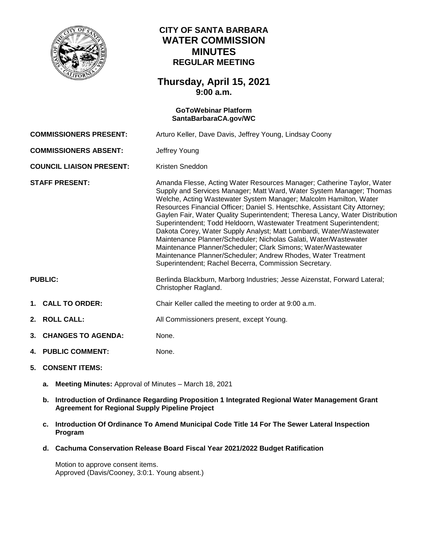

## **CITY OF SANTA BARBARA WATER COMMISSION MINUTES REGULAR MEETING**

## **Thursday, April 15, 2021 9:00 a.m.**

# **GoToWebinar Platform [SantaBarbaraCA.gov/WC](https://www.santabarbaraca.gov/gov/brdcomm/nz/water/agendas.asp) COMMISSIONERS PRESENT:** Arturo Keller, Dave Davis, Jeffrey Young, Lindsay Coony **COMMISSIONERS ABSENT:** Jeffrey Young **COUNCIL LIAISON PRESENT:** Kristen Sneddon **STAFF PRESENT:** Amanda Flesse, Acting Water Resources Manager; Catherine Taylor, Water Supply and Services Manager; Matt Ward, Water System Manager; Thomas Welche, Acting Wastewater System Manager; Malcolm Hamilton, Water Resources Financial Officer; Daniel S. Hentschke, Assistant City Attorney; Gaylen Fair, Water Quality Superintendent; Theresa Lancy, Water Distribution Superintendent; Todd Heldoorn, Wastewater Treatment Superintendent; Dakota Corey, Water Supply Analyst; Matt Lombardi, Water/Wastewater Maintenance Planner/Scheduler; Nicholas Galati, Water/Wastewater Maintenance Planner/Scheduler; Clark Simons; Water/Wastewater Maintenance Planner/Scheduler; Andrew Rhodes, Water Treatment Superintendent; Rachel Becerra, Commission Secretary. PUBLIC: Berlinda Blackburn, Marborg Industries; Jesse Aizenstat, Forward Lateral; Christopher Ragland. **1. CALL TO ORDER:** Chair Keller called the meeting to order at 9:00 a.m. **2. ROLL CALL:** All Commissioners present, except Young. **3. CHANGES TO AGENDA:** None. **4. PUBLIC COMMENT:** None.

- **5. CONSENT ITEMS:**
	- **a. Meeting Minutes:** Approval of Minutes March 18, 2021
	- **b. Introduction of Ordinance Regarding Proposition 1 Integrated Regional Water Management Grant Agreement for Regional Supply Pipeline Project**
	- **c. Introduction Of Ordinance To Amend Municipal Code Title 14 For The Sewer Lateral Inspection Program**
	- **d. Cachuma Conservation Release Board Fiscal Year 2021/2022 Budget Ratification**

Motion to approve consent items. Approved (Davis/Cooney, 3:0:1. Young absent.)